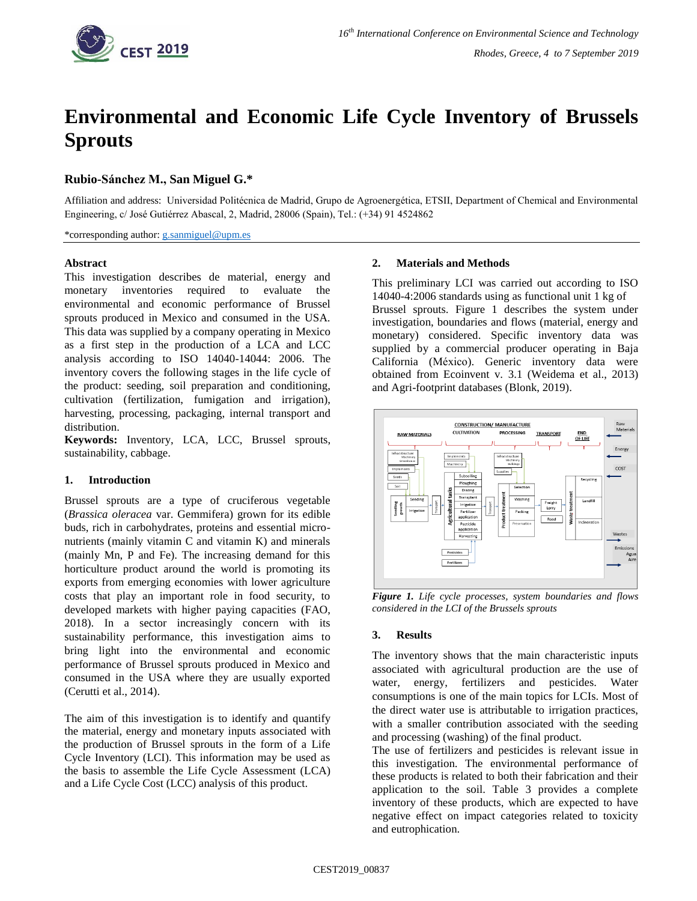

# **Environmental and Economic Life Cycle Inventory of Brussels Sprouts**

# **Rubio-Sánchez M., San Miguel G.\***

Affiliation and address: Universidad Politécnica de Madrid, Grupo de Agroenergética, ETSII, Department of Chemical and Environmental Engineering, c/ José Gutiérrez Abascal, 2, Madrid, 28006 (Spain), Tel.: (+34) 91 4524862

\*corresponding author: [g.sanmiguel@upm.es](mailto:g.sanmiguel@upm.es)

# **Abstract**

This investigation describes de material, energy and monetary inventories required to evaluate the environmental and economic performance of Brussel sprouts produced in Mexico and consumed in the USA. This data was supplied by a company operating in Mexico as a first step in the production of a LCA and LCC analysis according to ISO 14040-14044: 2006. The inventory covers the following stages in the life cycle of the product: seeding, soil preparation and conditioning, cultivation (fertilization, fumigation and irrigation), harvesting, processing, packaging, internal transport and distribution.

**Keywords:** Inventory, LCA, LCC, Brussel sprouts, sustainability, cabbage.

# **1. Introduction**

Brussel sprouts are a type of cruciferous vegetable (*Brassica oleracea* var. Gemmifera) grown for its edible buds, rich in carbohydrates, proteins and essential micronutrients (mainly vitamin C and vitamin K) and minerals (mainly Mn, P and Fe). The increasing demand for this horticulture product around the world is promoting its exports from emerging economies with lower agriculture costs that play an important role in food security, to developed markets with higher paying capacities (FAO, 2018). In a sector increasingly concern with its sustainability performance, this investigation aims to bring light into the environmental and economic performance of Brussel sprouts produced in Mexico and consumed in the USA where they are usually exported (Cerutti et al., 2014).

The aim of this investigation is to identify and quantify the material, energy and monetary inputs associated with the production of Brussel sprouts in the form of a Life Cycle Inventory (LCI). This information may be used as the basis to assemble the Life Cycle Assessment (LCA) and a Life Cycle Cost (LCC) analysis of this product.

#### **2. Materials and Methods**

This preliminary LCI was carried out according to ISO 14040-4:2006 standards using as functional unit 1 kg of Brussel sprouts. Figure 1 describes the system under investigation, boundaries and flows (material, energy and monetary) considered. Specific inventory data was supplied by a commercial producer operating in Baja California (México). Generic inventory data were obtained from Ecoinvent v. 3.1 (Weidema et al., 2013) and Agri-footprint databases (Blonk, 2019).



*Figure 1. Life cycle processes, system boundaries and flows considered in the LCI of the Brussels sprouts*

# **3. Results**

The inventory shows that the main characteristic inputs associated with agricultural production are the use of water, energy, fertilizers and pesticides. Water consumptions is one of the main topics for LCIs. Most of the direct water use is attributable to irrigation practices, with a smaller contribution associated with the seeding and processing (washing) of the final product.

The use of fertilizers and pesticides is relevant issue in this investigation. The environmental performance of these products is related to both their fabrication and their application to the soil. Table 3 provides a complete inventory of these products, which are expected to have negative effect on impact categories related to toxicity and eutrophication.